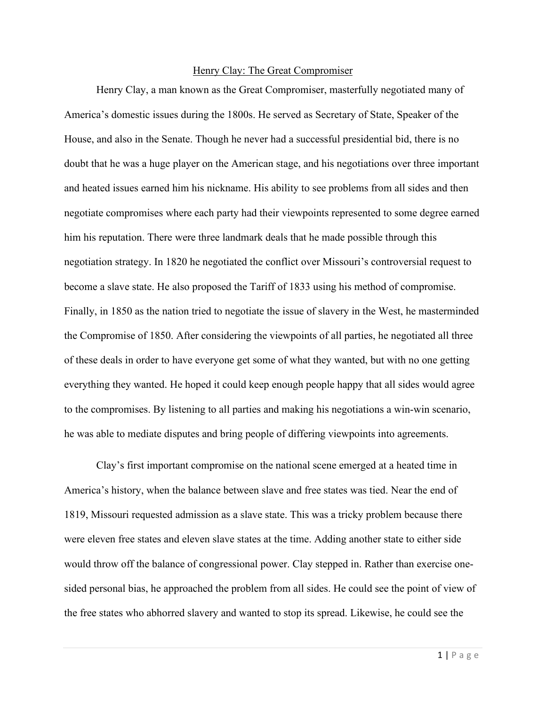## Henry Clay: The Great Compromiser

Henry Clay, a man known as the Great Compromiser, masterfully negotiated many of America's domestic issues during the 1800s. He served as Secretary of State, Speaker of the House, and also in the Senate. Though he never had a successful presidential bid, there is no doubt that he was a huge player on the American stage, and his negotiations over three important and heated issues earned him his nickname. His ability to see problems from all sides and then negotiate compromises where each party had their viewpoints represented to some degree earned him his reputation. There were three landmark deals that he made possible through this negotiation strategy. In 1820 he negotiated the conflict over Missouri's controversial request to become a slave state. He also proposed the Tariff of 1833 using his method of compromise. Finally, in 1850 as the nation tried to negotiate the issue of slavery in the West, he masterminded the Compromise of 1850. After considering the viewpoints of all parties, he negotiated all three of these deals in order to have everyone get some of what they wanted, but with no one getting everything they wanted. He hoped it could keep enough people happy that all sides would agree to the compromises. By listening to all parties and making his negotiations a win-win scenario, he was able to mediate disputes and bring people of differing viewpoints into agreements.

Clay's first important compromise on the national scene emerged at a heated time in America's history, when the balance between slave and free states was tied. Near the end of 1819, Missouri requested admission as a slave state. This was a tricky problem because there were eleven free states and eleven slave states at the time. Adding another state to either side would throw off the balance of congressional power. Clay stepped in. Rather than exercise onesided personal bias, he approached the problem from all sides. He could see the point of view of the free states who abhorred slavery and wanted to stop its spread. Likewise, he could see the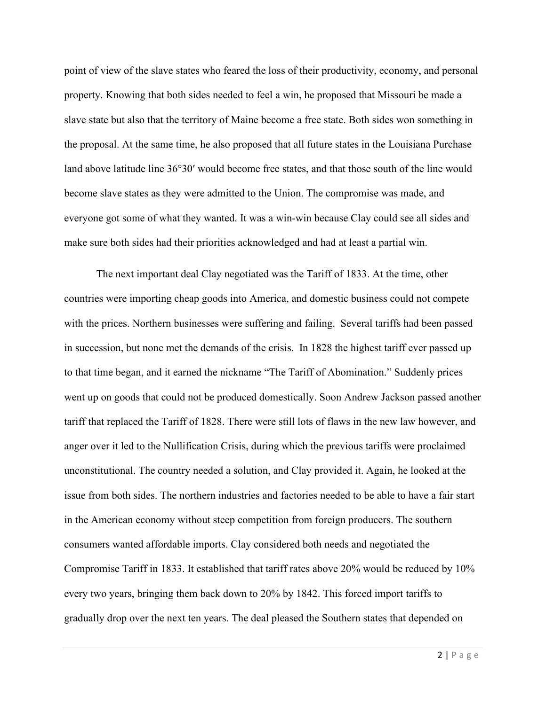point of view of the slave states who feared the loss of their productivity, economy, and personal property. Knowing that both sides needed to feel a win, he proposed that Missouri be made a slave state but also that the territory of Maine become a free state. Both sides won something in the proposal. At the same time, he also proposed that all future states in the Louisiana Purchase land above latitude line 36°30′ would become free states, and that those south of the line would become slave states as they were admitted to the Union. The compromise was made, and everyone got some of what they wanted. It was a win-win because Clay could see all sides and make sure both sides had their priorities acknowledged and had at least a partial win.

The next important deal Clay negotiated was the Tariff of 1833. At the time, other countries were importing cheap goods into America, and domestic business could not compete with the prices. Northern businesses were suffering and failing. Several tariffs had been passed in succession, but none met the demands of the crisis. In 1828 the highest tariff ever passed up to that time began, and it earned the nickname "The Tariff of Abomination." Suddenly prices went up on goods that could not be produced domestically. Soon Andrew Jackson passed another tariff that replaced the Tariff of 1828. There were still lots of flaws in the new law however, and anger over it led to the Nullification Crisis, during which the previous tariffs were proclaimed unconstitutional. The country needed a solution, and Clay provided it. Again, he looked at the issue from both sides. The northern industries and factories needed to be able to have a fair start in the American economy without steep competition from foreign producers. The southern consumers wanted affordable imports. Clay considered both needs and negotiated the Compromise Tariff in 1833. It established that tariff rates above 20% would be reduced by 10% every two years, bringing them back down to 20% by 1842. This forced import tariffs to gradually drop over the next ten years. The deal pleased the Southern states that depended on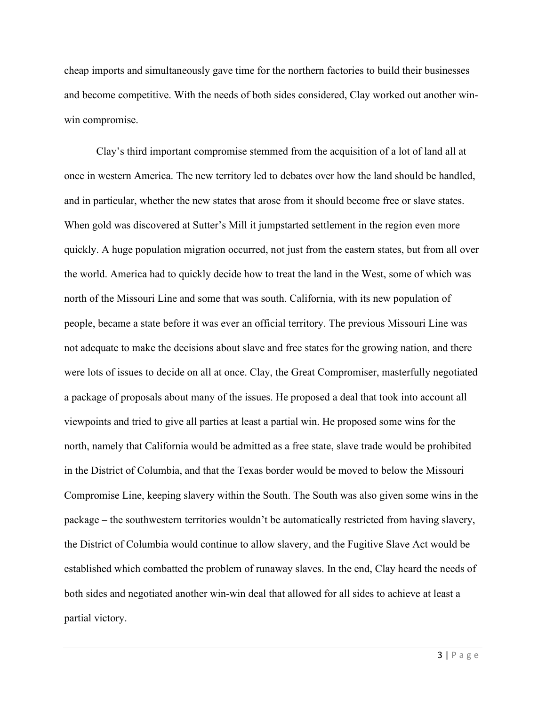cheap imports and simultaneously gave time for the northern factories to build their businesses and become competitive. With the needs of both sides considered, Clay worked out another winwin compromise.

Clay's third important compromise stemmed from the acquisition of a lot of land all at once in western America. The new territory led to debates over how the land should be handled, and in particular, whether the new states that arose from it should become free or slave states. When gold was discovered at Sutter's Mill it jumpstarted settlement in the region even more quickly. A huge population migration occurred, not just from the eastern states, but from all over the world. America had to quickly decide how to treat the land in the West, some of which was north of the Missouri Line and some that was south. California, with its new population of people, became a state before it was ever an official territory. The previous Missouri Line was not adequate to make the decisions about slave and free states for the growing nation, and there were lots of issues to decide on all at once. Clay, the Great Compromiser, masterfully negotiated a package of proposals about many of the issues. He proposed a deal that took into account all viewpoints and tried to give all parties at least a partial win. He proposed some wins for the north, namely that California would be admitted as a free state, slave trade would be prohibited in the District of Columbia, and that the Texas border would be moved to below the Missouri Compromise Line, keeping slavery within the South. The South was also given some wins in the package – the southwestern territories wouldn't be automatically restricted from having slavery, the District of Columbia would continue to allow slavery, and the Fugitive Slave Act would be established which combatted the problem of runaway slaves. In the end, Clay heard the needs of both sides and negotiated another win-win deal that allowed for all sides to achieve at least a partial victory.